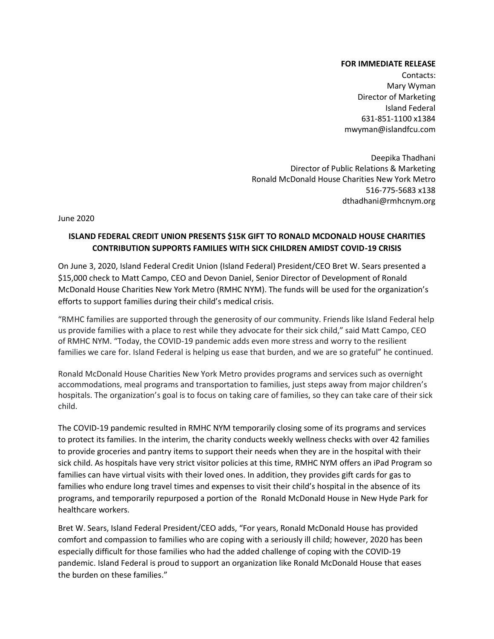## **FOR IMMEDIATE RELEASE**

Contacts: Mary Wyman Director of Marketing Island Federal 631-851-1100 x1384 mwyman@islandfcu.com

Deepika Thadhani Director of Public Relations & Marketing Ronald McDonald House Charities New York Metro 516-775-5683 x138 dthadhani@rmhcnym.org

June 2020

# **ISLAND FEDERAL CREDIT UNION PRESENTS \$15K GIFT TO RONALD MCDONALD HOUSE CHARITIES CONTRIBUTION SUPPORTS FAMILIES WITH SICK CHILDREN AMIDST COVID-19 CRISIS**

On June 3, 2020, Island Federal Credit Union (Island Federal) President/CEO Bret W. Sears presented a \$15,000 check to Matt Campo, CEO and Devon Daniel, Senior Director of Development of Ronald McDonald House Charities New York Metro (RMHC NYM). The funds will be used for the organization's efforts to support families during their child's medical crisis.

"RMHC families are supported through the generosity of our community. Friends like Island Federal help us provide families with a place to rest while they advocate for their sick child," said Matt Campo, CEO of RMHC NYM. "Today, the COVID-19 pandemic adds even more stress and worry to the resilient families we care for. Island Federal is helping us ease that burden, and we are so grateful" he continued.

Ronald McDonald House Charities New York Metro provides programs and services such as overnight accommodations, meal programs and transportation to families, just steps away from major children's hospitals. The organization's goal is to focus on taking care of families, so they can take care of their sick child.

The COVID-19 pandemic resulted in RMHC NYM temporarily closing some of its programs and services to protect its families. In the interim, the charity conducts weekly wellness checks with over 42 families to provide groceries and pantry items to support their needs when they are in the hospital with their sick child. As hospitals have very strict visitor policies at this time, RMHC NYM offers an iPad Program so families can have virtual visits with their loved ones. In addition, they provides gift cards for gas to families who endure long travel times and expenses to visit their child's hospital in the absence of its programs, and temporarily repurposed a portion of the Ronald McDonald House in New Hyde Park for healthcare workers.

Bret W. Sears, Island Federal President/CEO adds, "For years, Ronald McDonald House has provided comfort and compassion to families who are coping with a seriously ill child; however, 2020 has been especially difficult for those families who had the added challenge of coping with the COVID-19 pandemic. Island Federal is proud to support an organization like Ronald McDonald House that eases the burden on these families."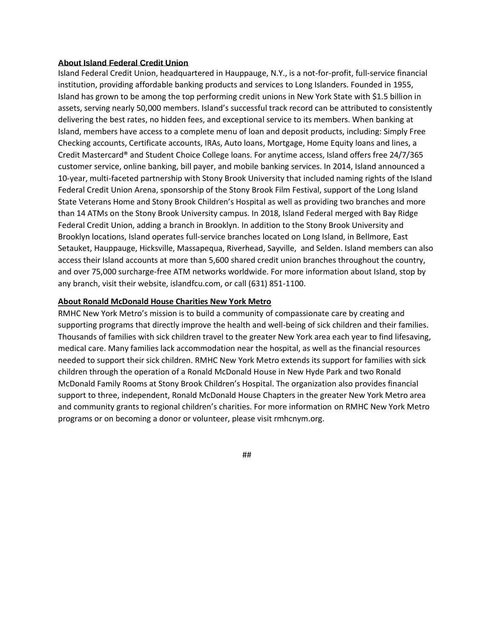# **About Island Federal Credit Union**

Island Federal Credit Union, headquartered in Hauppauge, N.Y., is a not-for-profit, full-service financial institution, providing affordable banking products and services to Long Islanders. Founded in 1955, Island has grown to be among the top performing credit unions in New York State with \$1.5 billion in assets, serving nearly 50,000 members. Island's successful track record can be attributed to consistently delivering the best rates, no hidden fees, and exceptional service to its members. When banking at Island, members have access to a complete menu of loan and deposit products, including: Simply Free Checking accounts, Certificate accounts, IRAs, Auto loans, Mortgage, Home Equity loans and lines, a Credit Mastercard® and Student Choice College loans. For anytime access, Island offers free 24/7/365 customer service, online banking, bill payer, and mobile banking services. In 2014, Island announced a 10-year, multi-faceted partnership with Stony Brook University that included naming rights of the Island Federal Credit Union Arena, sponsorship of the Stony Brook Film Festival, support of the Long Island State Veterans Home and Stony Brook Children's Hospital as well as providing two branches and more than 14 ATMs on the Stony Brook University campus. In 2018, Island Federal merged with Bay Ridge Federal Credit Union, adding a branch in Brooklyn. In addition to the Stony Brook University and Brooklyn locations, Island operates full-service branches located on Long Island, in Bellmore, East Setauket, Hauppauge, Hicksville, Massapequa, Riverhead, Sayville, and Selden. Island members can also access their Island accounts at more than 5,600 shared credit union branches throughout the country, and over 75,000 surcharge-free ATM networks worldwide. For more information about Island, stop by any branch, visit their website, islandfcu.com, or call (631) 851-1100.

## **About Ronald McDonald House Charities New York Metro**

RMHC New York Metro's mission is to build a community of compassionate care by creating and supporting programs that directly improve the health and well-being of sick children and their families. Thousands of families with sick children travel to the greater New York area each year to find lifesaving, medical care. Many families lack accommodation near the hospital, as well as the financial resources needed to support their sick children. RMHC New York Metro extends its support for families with sick children through the operation of a Ronald McDonald House in New Hyde Park and two Ronald McDonald Family Rooms at Stony Brook Children's Hospital. The organization also provides financial support to three, independent, Ronald McDonald House Chapters in the greater New York Metro area and community grants to regional children's charities. For more information on RMHC New York Metro programs or on becoming a donor or volunteer, please visit rmhcnym.org.

#### ##